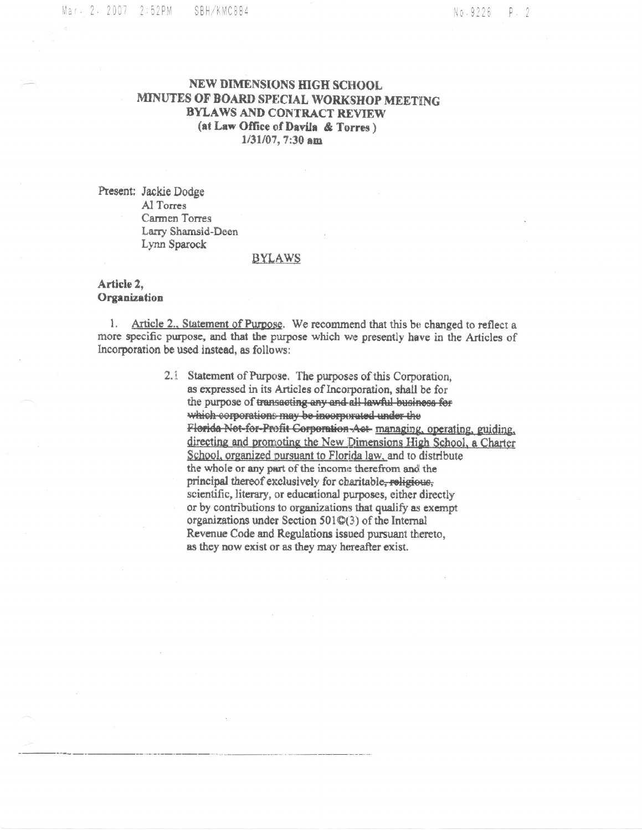## NEW DIMENSIONS HIGH SCHOOL MINUTES OF BOARD SPECIAL WORKSHOP MEETING **BYLAWS AND CONTRACT REVIEW** (at Law Office of Davila & Torres) 1/31/07, 7:30 am

Present: Jackie Dodge Al Torres Carmen Torres Larry Shamsid-Deen Lynn Sparock

## **BYLAWS**

## Article 2, Organization

1. Article 2., Statement of Purpose. We recommend that this be changed to reflect a more specific purpose, and that the purpose which we presently have in the Articles of Incorporation be used instead, as follows:

> 2.1 Statement of Purpose. The purposes of this Corporation. as expressed in its Articles of Incorporation, shall be for the purpose of transacting any and all lawful business for which corporations may be incorporated under the Florida Not-for-Profit Corporation-Act-managing, operating, guiding, directing and promoting the New Dimensions High School, a Charter School, organized pursuant to Florida law, and to distribute the whole or any part of the income therefrom and the principal thereof exclusively for charitable, religious, scientific, literary, or educational purposes, either directly or by contributions to organizations that qualify as exempt organizations under Section 501 $\mathbb{Q}(3)$  of the Internal Revenue Code and Regulations issued pursuant thereto. as they now exist or as they may hereafter exist.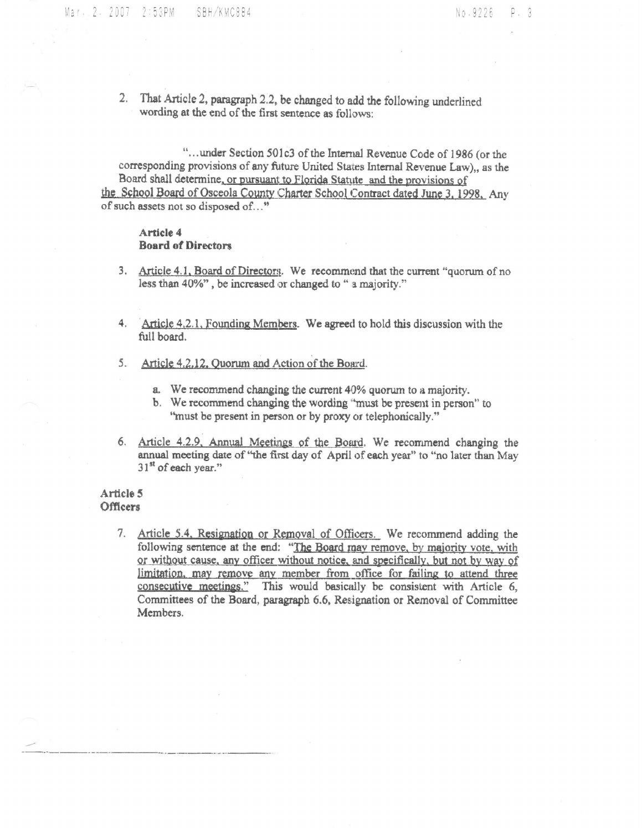2. That Article 2, paragraph 2.2, be changed to add the following underlined wording at the end of the first sentence as follows:

"...under Section 501c3 of the Internal Revenue Code of 1986 (or the corresponding provisions of any future United States Internal Revenue Law), as the Board shall determine, or pursuant to Florida Statute and the provisions of the School Board of Osceola County Charter School Contract dated June 3, 1998. Any of such assets not so disposed of..."

## Article 4 **Board of Directors**

- 3. Article 4.1, Board of Directors. We recommend that the current "quorum of no less than 40%", be increased or changed to " a majority."
- Article 4.2.1, Founding Members. We agreed to hold this discussion with the 4. full board.
- 5. Article 4.2.12, Quorum and Action of the Board.
	- a. We recommend changing the current 40% quorum to a majority.
	- b. We recommend changing the wording "must be present in person" to "must be present in person or by proxy or telephonically."
- 6. Article 4.2.9, Annual Meetings of the Board. We recommend changing the annual meeting date of "the first day of April of each year" to "no later than May 31<sup>st</sup> of each year."

## Article 5 Officers

7. Article 5.4, Resignation or Removal of Officers. We recommend adding the following sentence at the end: "The Board may remove, by majority vote, with or without cause, any officer without notice, and specifically, but not by way of limitation, may remove any member from office for failing to attend three consecutive meetings." This would basically be consistent with Article 6, Committees of the Board, paragraph 6.6, Resignation or Removal of Committee Members.